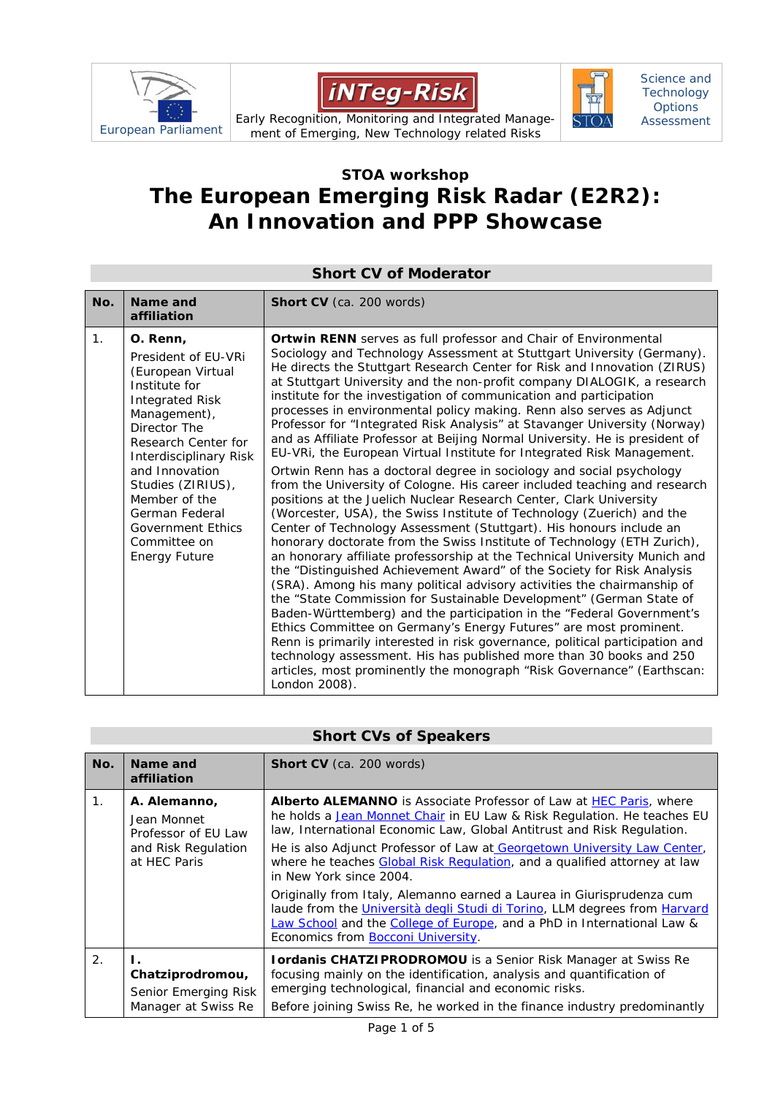





Science and **Technology Options** Assessment

European Parliament Early Recognition, Monitoring and Integrated Manage-<br>European Parliament of Emerging New Technology related Risks ment of Emerging, New Technology related Risks

## **STOA workshop The European Emerging Risk Radar (E2R2): An Innovation and PPP Showcase**

## **Short CV of Moderator No. Name and affiliation Short CV** (ca. 200 words) 1. **O. Renn,**  President of EU-VRi (European Virtual Institute for Integrated Risk Management), Director The Research Center for Interdisciplinary Risk and Innovation Studies (ZIRIUS), Member of the German Federal Government Ethics Committee on Energy Future *Ortwin RENN* serves as full professor and *Chair of Environmental Sociology and Technology Assessment* at Stuttgart University (Germany). He directs the *Stuttgart Research Center for Risk and Innovation (ZIRUS)*  at Stuttgart University and the *non-profit company DIALOGIK,* a research institute for the investigation of communication and participation processes in environmental policy making. Renn also serves as *Adjunct Professor for "Integrated Risk Analysis"* at Stavanger University (Norway) and as Affiliate Professor at Beijing Normal University. He is president of EU-VRi, the European Virtual Institute for Integrated Risk Management. Ortwin Renn has a doctoral degree in sociology and social psychology from the University of Cologne. His career included teaching and research positions at the Juelich Nuclear Research Center, Clark University (Worcester, USA), the Swiss Institute of Technology (Zuerich) and the Center of Technology Assessment (Stuttgart). His honours include an honorary doctorate from the Swiss Institute of Technology (ETH Zurich), an honorary affiliate professorship at the Technical University Munich and the "Distinguished Achievement Award" of the Society for Risk Analysis (SRA). Among his many political advisory activities the chairmanship of the "State Commission for Sustainable Development" (German State of Baden-Württemberg) and the participation in the "Federal Government's Ethics Committee on Germany's Energy Futures" are most prominent. Renn is primarily interested in risk governance, political participation and technology assessment. His has published more than 30 books and 250 articles, most prominently the monograph "Risk Governance" (Earthscan: London 2008).

## **Short CVs of Speakers**

| No.            | Name and<br>affiliation                                                                   | <b>Short CV</b> (ca. 200 words)                                                                                                                                                                                                                                                                                                                                                                                                                                                                                                                                                                                                                                                                 |
|----------------|-------------------------------------------------------------------------------------------|-------------------------------------------------------------------------------------------------------------------------------------------------------------------------------------------------------------------------------------------------------------------------------------------------------------------------------------------------------------------------------------------------------------------------------------------------------------------------------------------------------------------------------------------------------------------------------------------------------------------------------------------------------------------------------------------------|
| $\mathbf 1$ .  | A. Alemanno,<br>Jean Monnet<br>Professor of EU Law<br>and Risk Regulation<br>at HEC Paris | <b>Alberto ALEMANNO</b> is Associate Professor of Law at HEC Paris, where<br>he holds a Jean Monnet Chair in EU Law & Risk Regulation. He teaches EU<br>law, International Economic Law, Global Antitrust and Risk Regulation.<br>He is also Adjunct Professor of Law at Georgetown University Law Center,<br>where he teaches Global Risk Regulation, and a qualified attorney at law<br>in New York since 2004.<br>Originally from Italy, Alemanno earned a Laurea in Giurisprudenza cum<br>laude from the Università degli Studi di Torino, LLM degrees from Harvard<br>Law School and the College of Europe, and a PhD in International Law &<br>Economics from <b>Bocconi University</b> . |
| 2 <sub>1</sub> | Chatziprodromou,<br>Senior Emerging Risk<br>Manager at Swiss Re                           | Iordanis CHATZIPRODROMOU is a Senior Risk Manager at Swiss Re<br>focusing mainly on the identification, analysis and quantification of<br>emerging technological, financial and economic risks.<br>Before joining Swiss Re, he worked in the finance industry predominantly                                                                                                                                                                                                                                                                                                                                                                                                                     |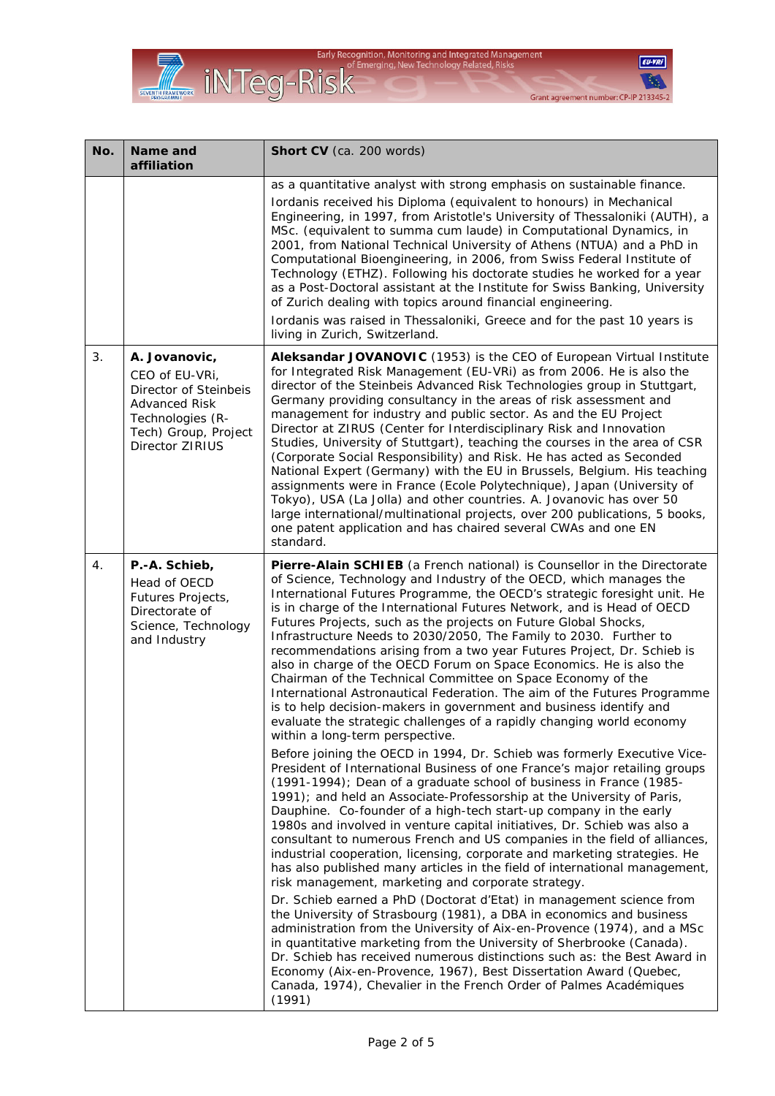

 $EU-VRI$ **B** Grant agreement number: CP-IP 213345-2

| No. | Name and<br>affiliation                                                                                                                         | Short CV (ca. 200 words)                                                                                                                                                                                                                                                                                                                                                                                                                                                                                                                                                                                                                                                                                                                                                                                                                                                                                                                                                                                                                                                                                                                                                                                                                                                                                                                                                                                                                                                                                                                                                                                                                                                                                                                                                                                                                                                                                                                                                                                                                                                                                                                                                                                                  |
|-----|-------------------------------------------------------------------------------------------------------------------------------------------------|---------------------------------------------------------------------------------------------------------------------------------------------------------------------------------------------------------------------------------------------------------------------------------------------------------------------------------------------------------------------------------------------------------------------------------------------------------------------------------------------------------------------------------------------------------------------------------------------------------------------------------------------------------------------------------------------------------------------------------------------------------------------------------------------------------------------------------------------------------------------------------------------------------------------------------------------------------------------------------------------------------------------------------------------------------------------------------------------------------------------------------------------------------------------------------------------------------------------------------------------------------------------------------------------------------------------------------------------------------------------------------------------------------------------------------------------------------------------------------------------------------------------------------------------------------------------------------------------------------------------------------------------------------------------------------------------------------------------------------------------------------------------------------------------------------------------------------------------------------------------------------------------------------------------------------------------------------------------------------------------------------------------------------------------------------------------------------------------------------------------------------------------------------------------------------------------------------------------------|
|     |                                                                                                                                                 | as a quantitative analyst with strong emphasis on sustainable finance.<br>Iordanis received his Diploma (equivalent to honours) in Mechanical<br>Engineering, in 1997, from Aristotle's University of Thessaloniki (AUTH), a<br>MSc. (equivalent to summa cum laude) in Computational Dynamics, in<br>2001, from National Technical University of Athens (NTUA) and a PhD in<br>Computational Bioengineering, in 2006, from Swiss Federal Institute of<br>Technology (ETHZ). Following his doctorate studies he worked for a year<br>as a Post-Doctoral assistant at the Institute for Swiss Banking, University<br>of Zurich dealing with topics around financial engineering.<br>Iordanis was raised in Thessaloniki, Greece and for the past 10 years is<br>living in Zurich, Switzerland.                                                                                                                                                                                                                                                                                                                                                                                                                                                                                                                                                                                                                                                                                                                                                                                                                                                                                                                                                                                                                                                                                                                                                                                                                                                                                                                                                                                                                             |
| 3.  | A. Jovanovic,<br>CEO of EU-VRI,<br>Director of Steinbeis<br><b>Advanced Risk</b><br>Technologies (R-<br>Tech) Group, Project<br>Director ZIRIUS | Aleksandar JOVANOVIC (1953) is the CEO of European Virtual Institute<br>for Integrated Risk Management (EU-VRi) as from 2006. He is also the<br>director of the Steinbeis Advanced Risk Technologies group in Stuttgart,<br>Germany providing consultancy in the areas of risk assessment and<br>management for industry and public sector. As and the EU Project<br>Director at ZIRUS (Center for Interdisciplinary Risk and Innovation<br>Studies, University of Stuttgart), teaching the courses in the area of CSR<br>(Corporate Social Responsibility) and Risk. He has acted as Seconded<br>National Expert (Germany) with the EU in Brussels, Belgium. His teaching<br>assignments were in France (Ecole Polytechnique), Japan (University of<br>Tokyo), USA (La Jolla) and other countries. A. Jovanovic has over 50<br>large international/multinational projects, over 200 publications, 5 books,<br>one patent application and has chaired several CWAs and one EN<br>standard.                                                                                                                                                                                                                                                                                                                                                                                                                                                                                                                                                                                                                                                                                                                                                                                                                                                                                                                                                                                                                                                                                                                                                                                                                                |
| 4.  | P.-A. Schieb,<br>Head of OECD<br>Futures Projects,<br>Directorate of<br>Science, Technology<br>and Industry                                     | Pierre-Alain SCHIEB (a French national) is Counsellor in the Directorate<br>of Science, Technology and Industry of the OECD, which manages the<br>International Futures Programme, the OECD's strategic foresight unit. He<br>is in charge of the International Futures Network, and is Head of OECD<br>Futures Projects, such as the projects on Future Global Shocks,<br>Infrastructure Needs to 2030/2050, The Family to 2030. Further to<br>recommendations arising from a two year Futures Project, Dr. Schieb is<br>also in charge of the OECD Forum on Space Economics. He is also the<br>Chairman of the Technical Committee on Space Economy of the<br>International Astronautical Federation. The aim of the Futures Programme<br>is to help decision-makers in government and business identify and<br>evaluate the strategic challenges of a rapidly changing world economy<br>within a long-term perspective.<br>Before joining the OECD in 1994, Dr. Schieb was formerly Executive Vice-<br>President of International Business of one France's major retailing groups<br>(1991-1994); Dean of a graduate school of business in France (1985-<br>1991); and held an Associate-Professorship at the University of Paris,<br>Dauphine. Co-founder of a high-tech start-up company in the early<br>1980s and involved in venture capital initiatives, Dr. Schieb was also a<br>consultant to numerous French and US companies in the field of alliances,<br>industrial cooperation, licensing, corporate and marketing strategies. He<br>has also published many articles in the field of international management,<br>risk management, marketing and corporate strategy.<br>Dr. Schieb earned a PhD (Doctorat d'Etat) in management science from<br>the University of Strasbourg (1981), a DBA in economics and business<br>administration from the University of Aix-en-Provence (1974), and a MSc<br>in quantitative marketing from the University of Sherbrooke (Canada).<br>Dr. Schieb has received numerous distinctions such as: the Best Award in<br>Economy (Aix-en-Provence, 1967), Best Dissertation Award (Quebec,<br>Canada, 1974), Chevalier in the French Order of Palmes Académiques<br>(1991) |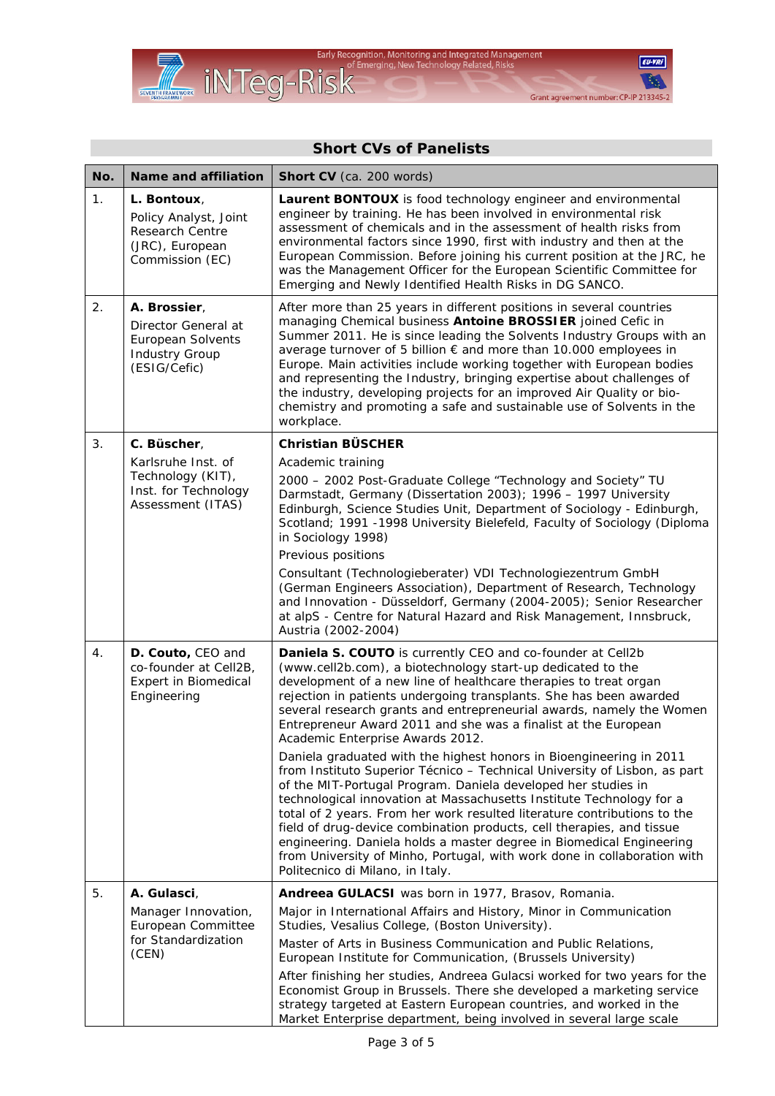

## $EU-VRI$ **B**

Grant agreement number: CP-IP 213345-2

| No. | <b>Name and affiliation</b>                                                                              | Short CV (ca. 200 words)                                                                                                                                                                                                                                                                                                                                                                                                                                                                                                                                                                                                               |
|-----|----------------------------------------------------------------------------------------------------------|----------------------------------------------------------------------------------------------------------------------------------------------------------------------------------------------------------------------------------------------------------------------------------------------------------------------------------------------------------------------------------------------------------------------------------------------------------------------------------------------------------------------------------------------------------------------------------------------------------------------------------------|
| 1.  | L. Bontoux,<br>Policy Analyst, Joint<br>Research Centre<br>(JRC), European<br>Commission (EC)            | Laurent BONTOUX is food technology engineer and environmental<br>engineer by training. He has been involved in environmental risk<br>assessment of chemicals and in the assessment of health risks from<br>environmental factors since 1990, first with industry and then at the<br>European Commission. Before joining his current position at the JRC, he<br>was the Management Officer for the European Scientific Committee for<br>Emerging and Newly Identified Health Risks in DG SANCO.                                                                                                                                         |
| 2.  | A. Brossier,<br>Director General at<br><b>European Solvents</b><br><b>Industry Group</b><br>(ESIG/Cefic) | After more than 25 years in different positions in several countries<br>managing Chemical business Antoine BROSSIER joined Cefic in<br>Summer 2011. He is since leading the Solvents Industry Groups with an<br>average turnover of 5 billion € and more than 10.000 employees in<br>Europe. Main activities include working together with European bodies<br>and representing the Industry, bringing expertise about challenges of<br>the industry, developing projects for an improved Air Quality or bio-<br>chemistry and promoting a safe and sustainable use of Solvents in the<br>workplace.                                    |
| 3.  | C. Büscher,                                                                                              | <b>Christian BÜSCHER</b>                                                                                                                                                                                                                                                                                                                                                                                                                                                                                                                                                                                                               |
|     | Karlsruhe Inst. of<br>Technology (KIT),<br>Inst. for Technology<br>Assessment (ITAS)                     | Academic training<br>2000 - 2002 Post-Graduate College "Technology and Society" TU<br>Darmstadt, Germany (Dissertation 2003); 1996 - 1997 University<br>Edinburgh, Science Studies Unit, Department of Sociology - Edinburgh,<br>Scotland; 1991 -1998 University Bielefeld, Faculty of Sociology (Diploma<br>in Sociology 1998)                                                                                                                                                                                                                                                                                                        |
|     |                                                                                                          | Previous positions                                                                                                                                                                                                                                                                                                                                                                                                                                                                                                                                                                                                                     |
|     |                                                                                                          | Consultant (Technologieberater) VDI Technologiezentrum GmbH<br>(German Engineers Association), Department of Research, Technology<br>and Innovation - Düsseldorf, Germany (2004-2005); Senior Researcher<br>at alpS - Centre for Natural Hazard and Risk Management, Innsbruck,<br>Austria (2002-2004)                                                                                                                                                                                                                                                                                                                                 |
| 4.  | D. Couto, CEO and<br>co-founder at Cell2B,<br><b>Expert in Biomedical</b><br>Engineering                 | Daniela S. COUTO is currently CEO and co-founder at Cell2b<br>(www.cell2b.com), a biotechnology start-up dedicated to the<br>development of a new line of healthcare therapies to treat organ<br>rejection in patients undergoing transplants. She has been awarded<br>several research grants and entrepreneurial awards, namely the Women<br>Entrepreneur Award 2011 and she was a finalist at the European<br>Academic Enterprise Awards 2012.                                                                                                                                                                                      |
|     |                                                                                                          | Daniela graduated with the highest honors in Bioengineering in 2011<br>from Instituto Superior Técnico - Technical University of Lisbon, as part<br>of the MIT-Portugal Program. Daniela developed her studies in<br>technological innovation at Massachusetts Institute Technology for a<br>total of 2 years. From her work resulted literature contributions to the<br>field of drug-device combination products, cell therapies, and tissue<br>engineering. Daniela holds a master degree in Biomedical Engineering<br>from University of Minho, Portugal, with work done in collaboration with<br>Politecnico di Milano, in Italy. |
| 5.  | A. Gulasci,                                                                                              | Andreea GULACSI was born in 1977, Brasov, Romania.                                                                                                                                                                                                                                                                                                                                                                                                                                                                                                                                                                                     |
|     | Manager Innovation,<br>European Committee<br>for Standardization<br>(CEN)                                | Major in International Affairs and History, Minor in Communication<br>Studies, Vesalius College, (Boston University).                                                                                                                                                                                                                                                                                                                                                                                                                                                                                                                  |
|     |                                                                                                          | Master of Arts in Business Communication and Public Relations,<br>European Institute for Communication, (Brussels University)                                                                                                                                                                                                                                                                                                                                                                                                                                                                                                          |
|     |                                                                                                          | After finishing her studies, Andreea Gulacsi worked for two years for the<br>Economist Group in Brussels. There she developed a marketing service<br>strategy targeted at Eastern European countries, and worked in the<br>Market Enterprise department, being involved in several large scale                                                                                                                                                                                                                                                                                                                                         |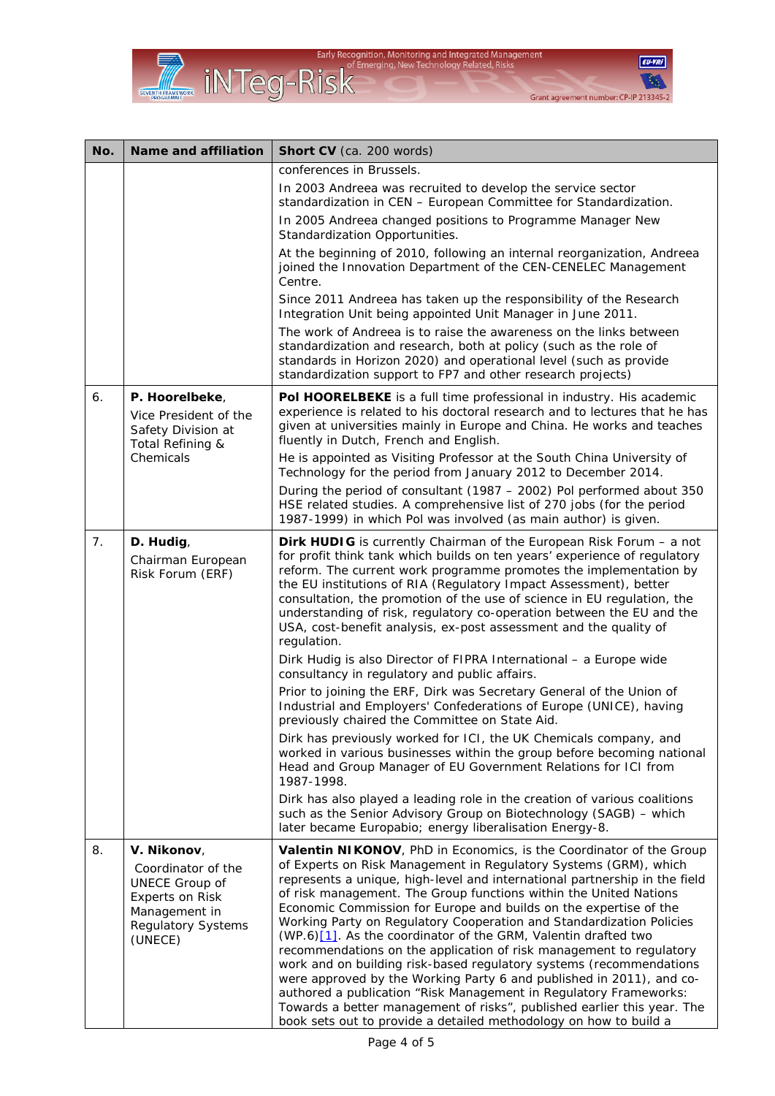



| No. | <b>Name and affiliation</b>                                                                                                            | Short CV (ca. 200 words)                                                                                                                                                                                                                                                                                                                                                                                                                                                                                                                                                                                                                                                                                                                                                                                                                                                                                                                             |
|-----|----------------------------------------------------------------------------------------------------------------------------------------|------------------------------------------------------------------------------------------------------------------------------------------------------------------------------------------------------------------------------------------------------------------------------------------------------------------------------------------------------------------------------------------------------------------------------------------------------------------------------------------------------------------------------------------------------------------------------------------------------------------------------------------------------------------------------------------------------------------------------------------------------------------------------------------------------------------------------------------------------------------------------------------------------------------------------------------------------|
|     |                                                                                                                                        | conferences in Brussels.                                                                                                                                                                                                                                                                                                                                                                                                                                                                                                                                                                                                                                                                                                                                                                                                                                                                                                                             |
|     |                                                                                                                                        | In 2003 Andreea was recruited to develop the service sector<br>standardization in CEN - European Committee for Standardization.                                                                                                                                                                                                                                                                                                                                                                                                                                                                                                                                                                                                                                                                                                                                                                                                                      |
|     |                                                                                                                                        | In 2005 Andreea changed positions to Programme Manager New<br>Standardization Opportunities.                                                                                                                                                                                                                                                                                                                                                                                                                                                                                                                                                                                                                                                                                                                                                                                                                                                         |
|     |                                                                                                                                        | At the beginning of 2010, following an internal reorganization, Andreea<br>joined the Innovation Department of the CEN-CENELEC Management<br>Centre.                                                                                                                                                                                                                                                                                                                                                                                                                                                                                                                                                                                                                                                                                                                                                                                                 |
|     |                                                                                                                                        | Since 2011 Andreea has taken up the responsibility of the Research<br>Integration Unit being appointed Unit Manager in June 2011.                                                                                                                                                                                                                                                                                                                                                                                                                                                                                                                                                                                                                                                                                                                                                                                                                    |
|     |                                                                                                                                        | The work of Andreea is to raise the awareness on the links between<br>standardization and research, both at policy (such as the role of<br>standards in Horizon 2020) and operational level (such as provide<br>standardization support to FP7 and other research projects)                                                                                                                                                                                                                                                                                                                                                                                                                                                                                                                                                                                                                                                                          |
| 6.  | P. Hoorelbeke,<br>Vice President of the<br>Safety Division at<br>Total Refining &                                                      | Pol HOORELBEKE is a full time professional in industry. His academic<br>experience is related to his doctoral research and to lectures that he has<br>given at universities mainly in Europe and China. He works and teaches<br>fluently in Dutch, French and English.                                                                                                                                                                                                                                                                                                                                                                                                                                                                                                                                                                                                                                                                               |
|     | Chemicals                                                                                                                              | He is appointed as Visiting Professor at the South China University of<br>Technology for the period from January 2012 to December 2014.                                                                                                                                                                                                                                                                                                                                                                                                                                                                                                                                                                                                                                                                                                                                                                                                              |
|     |                                                                                                                                        | During the period of consultant (1987 – 2002) Pol performed about 350<br>HSE related studies. A comprehensive list of 270 jobs (for the period<br>1987-1999) in which Pol was involved (as main author) is given.                                                                                                                                                                                                                                                                                                                                                                                                                                                                                                                                                                                                                                                                                                                                    |
| 7.  | D. Hudig,<br>Chairman European<br>Risk Forum (ERF)                                                                                     | <b>Dirk HUDIG</b> is currently Chairman of the European Risk Forum - a not<br>for profit think tank which builds on ten years' experience of regulatory<br>reform. The current work programme promotes the implementation by<br>the EU institutions of RIA (Regulatory Impact Assessment), better<br>consultation, the promotion of the use of science in EU regulation, the<br>understanding of risk, regulatory co-operation between the EU and the<br>USA, cost-benefit analysis, ex-post assessment and the quality of<br>regulation.                                                                                                                                                                                                                                                                                                                                                                                                            |
|     |                                                                                                                                        | Dirk Hudig is also Director of FIPRA International - a Europe wide<br>consultancy in regulatory and public affairs.                                                                                                                                                                                                                                                                                                                                                                                                                                                                                                                                                                                                                                                                                                                                                                                                                                  |
|     |                                                                                                                                        | Prior to joining the ERF, Dirk was Secretary General of the Union of<br>Industrial and Employers' Confederations of Europe (UNICE), having<br>previously chaired the Committee on State Aid.                                                                                                                                                                                                                                                                                                                                                                                                                                                                                                                                                                                                                                                                                                                                                         |
|     |                                                                                                                                        | Dirk has previously worked for ICI, the UK Chemicals company, and<br>worked in various businesses within the group before becoming national<br>Head and Group Manager of EU Government Relations for ICI from<br>1987-1998.                                                                                                                                                                                                                                                                                                                                                                                                                                                                                                                                                                                                                                                                                                                          |
|     |                                                                                                                                        | Dirk has also played a leading role in the creation of various coalitions<br>such as the Senior Advisory Group on Biotechnology (SAGB) - which<br>later became Europabio; energy liberalisation Energy-8.                                                                                                                                                                                                                                                                                                                                                                                                                                                                                                                                                                                                                                                                                                                                            |
| 8.  | V. Nikonov,<br>Coordinator of the<br><b>UNECE Group of</b><br>Experts on Risk<br>Management in<br><b>Regulatory Systems</b><br>(UNECE) | Valentin NIKONOV, PhD in Economics, is the Coordinator of the Group<br>of Experts on Risk Management in Regulatory Systems (GRM), which<br>represents a unique, high-level and international partnership in the field<br>of risk management. The Group functions within the United Nations<br>Economic Commission for Europe and builds on the expertise of the<br>Working Party on Regulatory Cooperation and Standardization Policies<br>(WP.6)[1]. As the coordinator of the GRM, Valentin drafted two<br>recommendations on the application of risk management to regulatory<br>work and on building risk-based regulatory systems (recommendations<br>were approved by the Working Party 6 and published in 2011), and co-<br>authored a publication "Risk Management in Regulatory Frameworks:<br>Towards a better management of risks", published earlier this year. The<br>book sets out to provide a detailed methodology on how to build a |